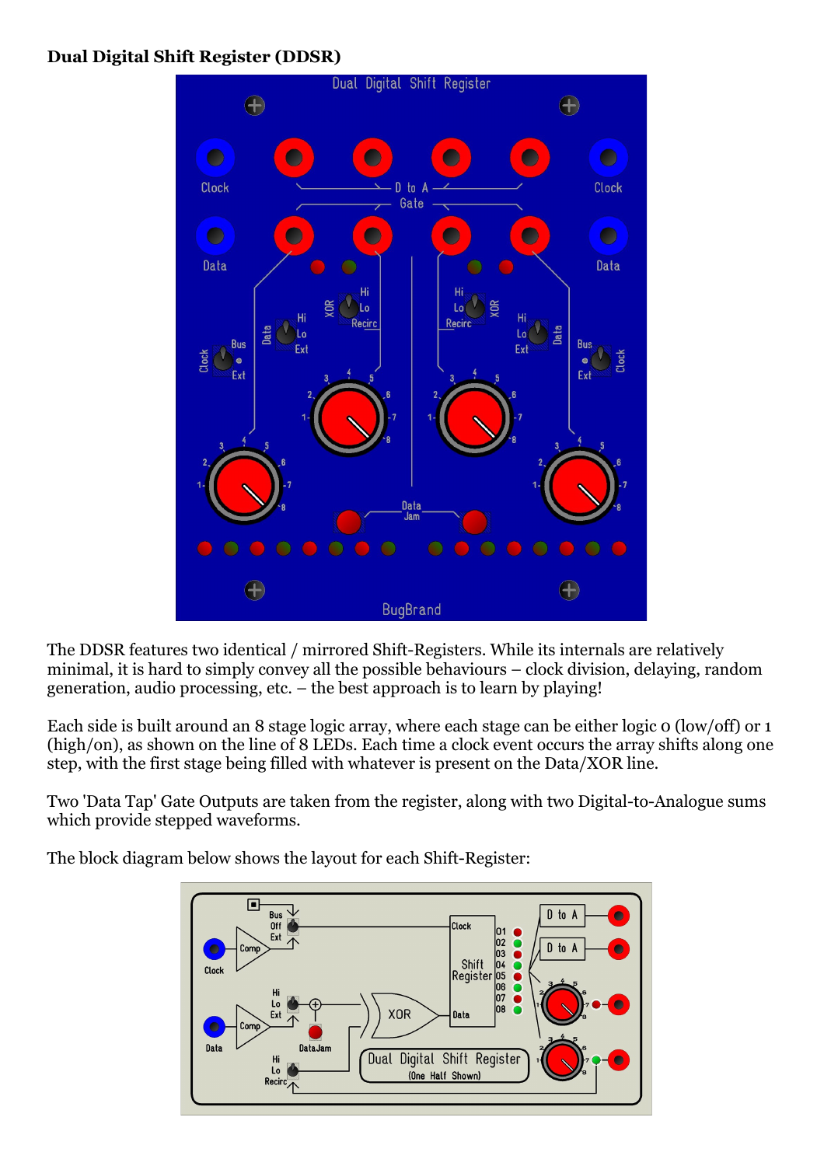## **Dual Digital Shift Register (DDSR)**



The DDSR features two identical / mirrored Shift-Registers. While its internals are relatively minimal, it is hard to simply convey all the possible behaviours – clock division, delaying, random generation, audio processing, etc. – the best approach is to learn by playing!

Each side is built around an 8 stage logic array, where each stage can be either logic 0 (low/off) or 1 (high/on), as shown on the line of 8 LEDs. Each time a clock event occurs the array shifts along one step, with the first stage being filled with whatever is present on the Data/XOR line.

Two 'Data Tap' Gate Outputs are taken from the register, along with two Digital-to-Analogue sums which provide stepped waveforms.

The block diagram below shows the layout for each Shift-Register:

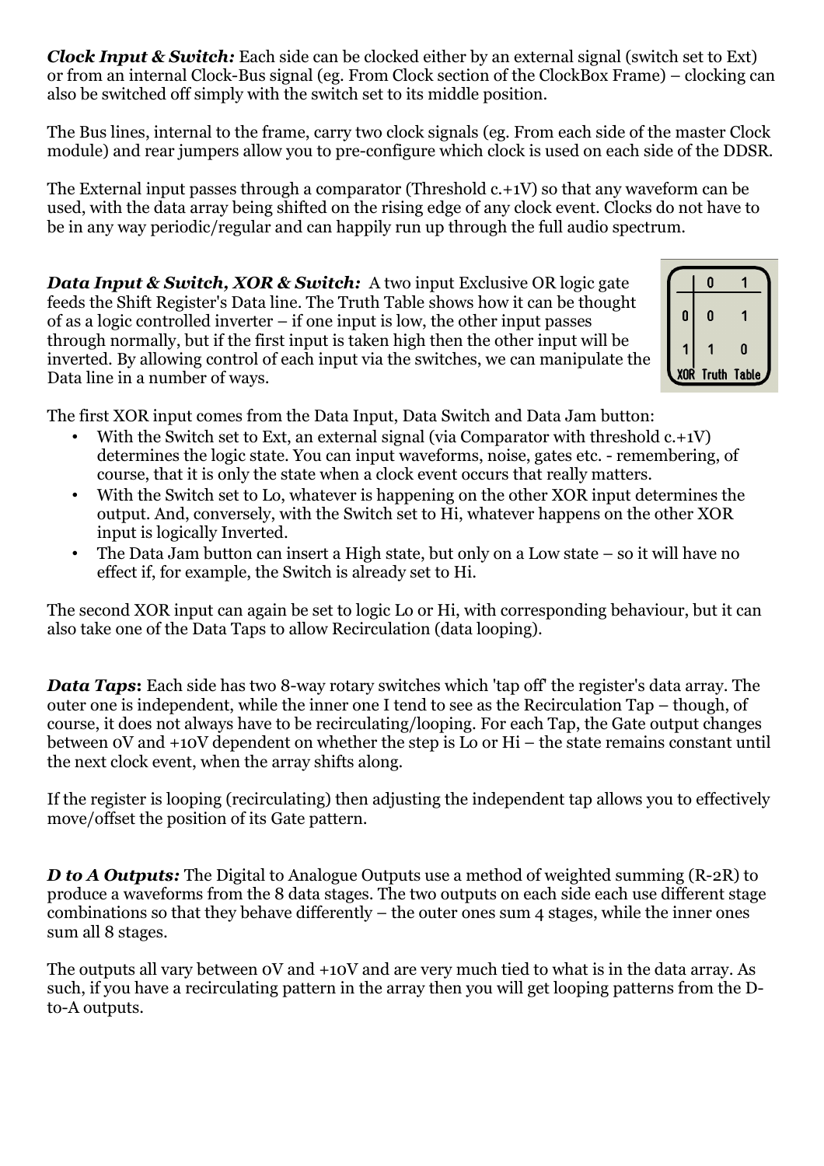*Clock Input & Switch:* Each side can be clocked either by an external signal (switch set to Ext) or from an internal Clock-Bus signal (eg. From Clock section of the ClockBox Frame) – clocking can also be switched off simply with the switch set to its middle position.

The Bus lines, internal to the frame, carry two clock signals (eg. From each side of the master Clock module) and rear jumpers allow you to pre-configure which clock is used on each side of the DDSR.

The External input passes through a comparator (Threshold c.+1V) so that any waveform can be used, with the data array being shifted on the rising edge of any clock event. Clocks do not have to be in any way periodic/regular and can happily run up through the full audio spectrum.

*Data Input & Switch, XOR & Switch:* A two input Exclusive OR logic gate feeds the Shift Register's Data line. The Truth Table shows how it can be thought of as a logic controlled inverter – if one input is low, the other input passes through normally, but if the first input is taken high then the other input will be inverted. By allowing control of each input via the switches, we can manipulate the Data line in a number of ways.



The first XOR input comes from the Data Input, Data Switch and Data Jam button:

- With the Switch set to Ext, an external signal (via Comparator with threshold  $c.+iV$ ) determines the logic state. You can input waveforms, noise, gates etc. - remembering, of course, that it is only the state when a clock event occurs that really matters.
- With the Switch set to Lo, whatever is happening on the other XOR input determines the output. And, conversely, with the Switch set to Hi, whatever happens on the other XOR input is logically Inverted.
- The Data Jam button can insert a High state, but only on a Low state so it will have no effect if, for example, the Switch is already set to Hi.

The second XOR input can again be set to logic Lo or Hi, with corresponding behaviour, but it can also take one of the Data Taps to allow Recirculation (data looping).

*Data Taps*: Each side has two 8-way rotary switches which 'tap off' the register's data array. The outer one is independent, while the inner one I tend to see as the Recirculation Tap – though, of course, it does not always have to be recirculating/looping. For each Tap, the Gate output changes between 0V and +10V dependent on whether the step is Lo or Hi – the state remains constant until the next clock event, when the array shifts along.

If the register is looping (recirculating) then adjusting the independent tap allows you to effectively move/offset the position of its Gate pattern.

*D* to *A Outputs:* The Digital to Analogue Outputs use a method of weighted summing (R-2R) to produce a waveforms from the 8 data stages. The two outputs on each side each use different stage combinations so that they behave differently – the outer ones sum 4 stages, while the inner ones sum all 8 stages.

The outputs all vary between 0V and +10V and are very much tied to what is in the data array. As such, if you have a recirculating pattern in the array then you will get looping patterns from the Dto-A outputs.